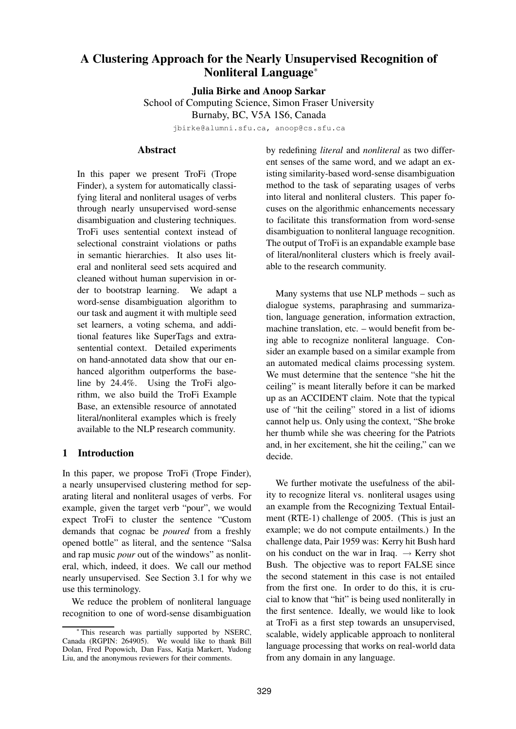# **A Clustering Approach for the Nearly Unsupervised Recognition of Nonliteral Language**<sup>∗</sup>

**Julia Birke and Anoop Sarkar**

School of Computing Science, Simon Fraser University Burnaby, BC, V5A 1S6, Canada

jbirke@alumni.sfu.ca, anoop@cs.sfu.ca

### **Abstract**

In this paper we present TroFi (Trope Finder), a system for automatically classifying literal and nonliteral usages of verbs through nearly unsupervised word-sense disambiguation and clustering techniques. TroFi uses sentential context instead of selectional constraint violations or paths in semantic hierarchies. It also uses literal and nonliteral seed sets acquired and cleaned without human supervision in order to bootstrap learning. We adapt a word-sense disambiguation algorithm to our task and augment it with multiple seed set learners, a voting schema, and additional features like SuperTags and extrasentential context. Detailed experiments on hand-annotated data show that our enhanced algorithm outperforms the baseline by 24.4%. Using the TroFi algorithm, we also build the TroFi Example Base, an extensible resource of annotated literal/nonliteral examples which is freely available to the NLP research community.

# **1 Introduction**

In this paper, we propose TroFi (Trope Finder), a nearly unsupervised clustering method for separating literal and nonliteral usages of verbs. For example, given the target verb "pour", we would expect TroFi to cluster the sentence "Custom demands that cognac be *poured* from a freshly opened bottle" as literal, and the sentence "Salsa and rap music *pour* out of the windows" as nonliteral, which, indeed, it does. We call our method nearly unsupervised. See Section 3.1 for why we use this terminology.

We reduce the problem of nonliteral language recognition to one of word-sense disambiguation by redefining *literal* and *nonliteral* as two different senses of the same word, and we adapt an existing similarity-based word-sense disambiguation method to the task of separating usages of verbs into literal and nonliteral clusters. This paper focuses on the algorithmic enhancements necessary to facilitate this transformation from word-sense disambiguation to nonliteral language recognition. The output of TroFi is an expandable example base of literal/nonliteral clusters which is freely available to the research community.

Many systems that use NLP methods – such as dialogue systems, paraphrasing and summarization, language generation, information extraction, machine translation, etc. – would benefit from being able to recognize nonliteral language. Consider an example based on a similar example from an automated medical claims processing system. We must determine that the sentence "she hit the ceiling" is meant literally before it can be marked up as an ACCIDENT claim. Note that the typical use of "hit the ceiling" stored in a list of idioms cannot help us. Only using the context, "She broke her thumb while she was cheering for the Patriots and, in her excitement, she hit the ceiling," can we decide.

We further motivate the usefulness of the ability to recognize literal vs. nonliteral usages using an example from the Recognizing Textual Entailment (RTE-1) challenge of 2005. (This is just an example; we do not compute entailments.) In the challenge data, Pair 1959 was: Kerry hit Bush hard on his conduct on the war in Iraq.  $\rightarrow$  Kerry shot Bush. The objective was to report FALSE since the second statement in this case is not entailed from the first one. In order to do this, it is crucial to know that "hit" is being used nonliterally in the first sentence. Ideally, we would like to look at TroFi as a first step towards an unsupervised, scalable, widely applicable approach to nonliteral language processing that works on real-world data from any domain in any language.

This research was partially supported by NSERC, Canada (RGPIN: 264905). We would like to thank Bill Dolan, Fred Popowich, Dan Fass, Katja Markert, Yudong Liu, and the anonymous reviewers for their comments.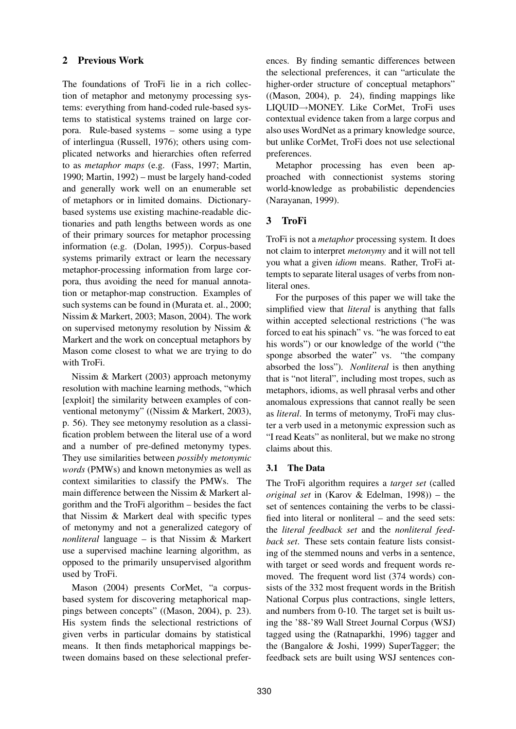# **2 Previous Work**

The foundations of TroFi lie in a rich collection of metaphor and metonymy processing systems: everything from hand-coded rule-based systems to statistical systems trained on large corpora. Rule-based systems – some using a type of interlingua (Russell, 1976); others using complicated networks and hierarchies often referred to as *metaphor maps* (e.g. (Fass, 1997; Martin, 1990; Martin, 1992) – must be largely hand-coded and generally work well on an enumerable set of metaphors or in limited domains. Dictionarybased systems use existing machine-readable dictionaries and path lengths between words as one of their primary sources for metaphor processing information (e.g. (Dolan, 1995)). Corpus-based systems primarily extract or learn the necessary metaphor-processing information from large corpora, thus avoiding the need for manual annotation or metaphor-map construction. Examples of such systems can be found in (Murata et. al., 2000; Nissim & Markert, 2003; Mason, 2004). The work on supervised metonymy resolution by Nissim & Markert and the work on conceptual metaphors by Mason come closest to what we are trying to do with TroFi.

Nissim & Markert (2003) approach metonymy resolution with machine learning methods, "which [exploit] the similarity between examples of conventional metonymy" ((Nissim & Markert, 2003), p. 56). They see metonymy resolution as a classification problem between the literal use of a word and a number of pre-defined metonymy types. They use similarities between *possibly metonymic words* (PMWs) and known metonymies as well as context similarities to classify the PMWs. The main difference between the Nissim & Markert algorithm and the TroFi algorithm – besides the fact that Nissim & Markert deal with specific types of metonymy and not a generalized category of *nonliteral* language – is that Nissim & Markert use a supervised machine learning algorithm, as opposed to the primarily unsupervised algorithm used by TroFi.

Mason (2004) presents CorMet, "a corpusbased system for discovering metaphorical mappings between concepts" ((Mason, 2004), p. 23). His system finds the selectional restrictions of given verbs in particular domains by statistical means. It then finds metaphorical mappings between domains based on these selectional preferences. By finding semantic differences between the selectional preferences, it can "articulate the higher-order structure of conceptual metaphors" ((Mason, 2004), p. 24), finding mappings like LIQUID→MONEY. Like CorMet, TroFi uses contextual evidence taken from a large corpus and also uses WordNet as a primary knowledge source, but unlike CorMet, TroFi does not use selectional preferences.

Metaphor processing has even been approached with connectionist systems storing world-knowledge as probabilistic dependencies (Narayanan, 1999).

# **3 TroFi**

TroFi is not a *metaphor* processing system. It does not claim to interpret *metonymy* and it will not tell you what a given *idiom* means. Rather, TroFi attempts to separate literal usages of verbs from nonliteral ones.

For the purposes of this paper we will take the simplified view that *literal* is anything that falls within accepted selectional restrictions ("he was forced to eat his spinach" vs. "he was forced to eat his words") or our knowledge of the world ("the sponge absorbed the water" vs. "the company absorbed the loss"). *Nonliteral* is then anything that is "not literal", including most tropes, such as metaphors, idioms, as well phrasal verbs and other anomalous expressions that cannot really be seen as *literal*. In terms of metonymy, TroFi may cluster a verb used in a metonymic expression such as "I read Keats" as nonliteral, but we make no strong claims about this.

# **3.1 The Data**

The TroFi algorithm requires a *target set* (called *original set* in (Karov & Edelman, 1998)) – the set of sentences containing the verbs to be classified into literal or nonliteral – and the seed sets: the *literal feedback set* and the *nonliteral feedback set*. These sets contain feature lists consisting of the stemmed nouns and verbs in a sentence, with target or seed words and frequent words removed. The frequent word list (374 words) consists of the 332 most frequent words in the British National Corpus plus contractions, single letters, and numbers from 0-10. The target set is built using the '88-'89 Wall Street Journal Corpus (WSJ) tagged using the (Ratnaparkhi, 1996) tagger and the (Bangalore & Joshi, 1999) SuperTagger; the feedback sets are built using WSJ sentences con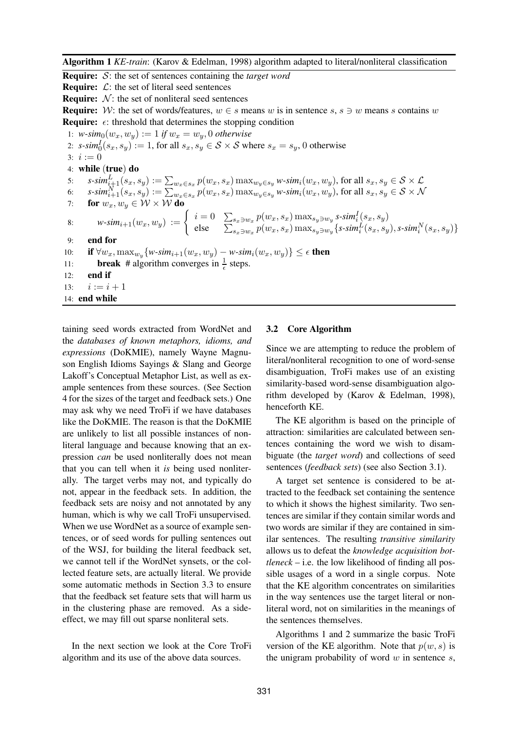**Algorithm 1** *KE-train*: (Karov & Edelman, 1998) algorithm adapted to literal/nonliteral classification

**Require:** S: the set of sentences containing the *target word*

**Require:**  $\mathcal{L}$ : the set of literal seed sentences

**Require:**  $N$ : the set of nonliteral seed sentences

**Require:** W: the set of words/features,  $w \in s$  means w is in sentence s,  $s \ni w$  means s contains w **Require:**  $\epsilon$ : threshold that determines the stopping condition

1:  $w\text{-}sim_0(w_x, w_y) := 1$  *if*  $w_x = w_y, 0$  *otherwise* 2:  $s\text{-}sim_0^I(s_x, s_y) := 1$ , for all  $s_x, s_y \in S \times S$  where  $s_x = s_y$ , 0 otherwise 3:  $i := 0$ 4: **while** (**true**) **do** 5:  $s$ -sim $\frac{L}{i+1}(s_x,s_y):=\sum_{w_x\in s_x}p(w_x,s_x)\max_{w_y\in s_y}w$ -sim $_i(w_x,w_y),$  for all  $s_x,s_y\in\mathcal{S}\times\mathcal{L}$ 6:  $s$ -sim $_{i+1}^N(s_x,s_y):=\sum_{w_x\in s_x}p(w_x,s_x)\max_{w_y\in s_y}w$ -sim $_i(w_x,w_y)$ , for all  $s_x,s_y\in\mathcal{S}\times\mathcal{N}$ 7: **for**  $w_x, w_y \in \mathcal{W} \times \mathcal{W}$  **do** 8:  $w\text{-}sim_{i+1}(w_x, w_y) := \begin{cases} i=0 & \sum_{s_x \ni w_x} p(w_x, s_x) \max_{s_y \ni w_y} s\text{-}sim_i^I(s_x, s_y) \\ \text{else} & \sum_{s_x \ni w_x} p(w_x, s_x) \max_{s_y \ni w_y} s\text{-}sim_i^I(s_x, s_y) \end{cases}$ else  $\sum_{s_x \ni w_x} p(w_x, s_x) \max_{s_y \ni w_y} \{ s\text{-}sim}_i^L(s_x, s_y), s\text{-}sim}_i^N(s_x, s_y) \}$ 9: **end for** 10: **if**  $\forall w_x, \max_{w_y} \{w\text{-}sim_{i+1}(w_x, w_y) - w\text{-}sim_i(w_x, w_y)\} ≤ \epsilon$  then 11: **break** # algorithm converges in  $\frac{1}{\epsilon}$  steps. 12: **end if** 13:  $i := i + 1$ 14: **end while**

taining seed words extracted from WordNet and the *databases of known metaphors, idioms, and expressions* (DoKMIE), namely Wayne Magnuson English Idioms Sayings & Slang and George Lakoff's Conceptual Metaphor List, as well as example sentences from these sources. (See Section 4 for the sizes of the target and feedback sets.) One may ask why we need TroFi if we have databases like the DoKMIE. The reason is that the DoKMIE are unlikely to list all possible instances of nonliteral language and because knowing that an expression *can* be used nonliterally does not mean that you can tell when it *is* being used nonliterally. The target verbs may not, and typically do not, appear in the feedback sets. In addition, the feedback sets are noisy and not annotated by any human, which is why we call TroFi unsupervised. When we use WordNet as a source of example sentences, or of seed words for pulling sentences out of the WSJ, for building the literal feedback set, we cannot tell if the WordNet synsets, or the collected feature sets, are actually literal. We provide some automatic methods in Section 3.3 to ensure that the feedback set feature sets that will harm us in the clustering phase are removed. As a sideeffect, we may fill out sparse nonliteral sets.

In the next section we look at the Core TroFi algorithm and its use of the above data sources.

#### **3.2 Core Algorithm**

Since we are attempting to reduce the problem of literal/nonliteral recognition to one of word-sense disambiguation, TroFi makes use of an existing similarity-based word-sense disambiguation algorithm developed by (Karov & Edelman, 1998), henceforth KE.

The KE algorithm is based on the principle of attraction: similarities are calculated between sentences containing the word we wish to disambiguate (the *target word*) and collections of seed sentences (*feedback sets*) (see also Section 3.1).

A target set sentence is considered to be attracted to the feedback set containing the sentence to which it shows the highest similarity. Two sentences are similar if they contain similar words and two words are similar if they are contained in similar sentences. The resulting *transitive similarity* allows us to defeat the *knowledge acquisition bottleneck* – i.e. the low likelihood of finding all possible usages of a word in a single corpus. Note that the KE algorithm concentrates on similarities in the way sentences use the target literal or nonliteral word, not on similarities in the meanings of the sentences themselves.

Algorithms 1 and 2 summarize the basic TroFi version of the KE algorithm. Note that  $p(w, s)$  is the unigram probability of word  $w$  in sentence  $s$ ,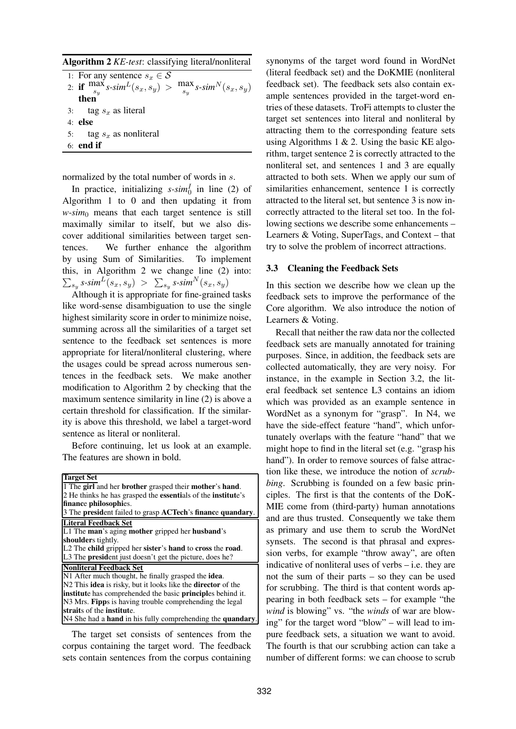**Algorithm 2** *KE-test*: classifying literal/nonliteral

| 1: For any sentence $s_x \in \mathcal{S}$                                                                                                                     |  |
|---------------------------------------------------------------------------------------------------------------------------------------------------------------|--|
| 2: if $\frac{\max s}{s_y}$ s-sim <sup>L</sup> (s <sub>x</sub> , s <sub>y</sub> ) > $\frac{\max s}{s_y}$ s-sim <sup>N</sup> (s <sub>x</sub> , s <sub>y</sub> ) |  |
| then                                                                                                                                                          |  |
| 3: tag $s_x$ as literal                                                                                                                                       |  |
| $4:$ else                                                                                                                                                     |  |
| 5: tag $s_x$ as nonliteral                                                                                                                                    |  |
| $6:$ end if                                                                                                                                                   |  |
|                                                                                                                                                               |  |

normalized by the total number of words in s.

In practice, initializing  $s\text{-}sim_0^I$  in line (2) of Algorithm 1 to 0 and then updating it from  $w\text{-}sim_0$  means that each target sentence is still maximally similar to itself, but we also discover additional similarities between target sentences. We further enhance the algorithm by using Sum of Similarities. To implement this, in Algorithm 2 we change line (2) into:  $\sum_{s_y}s\text{-}sim^L(s_x,s_y) \; > \; \sum_{s_y}s\text{-}sim^N(s_x,s_y)$ 

Although it is appropriate for fine-grained tasks like word-sense disambiguation to use the single highest similarity score in order to minimize noise, summing across all the similarities of a target set sentence to the feedback set sentences is more appropriate for literal/nonliteral clustering, where the usages could be spread across numerous sentences in the feedback sets. We make another modification to Algorithm 2 by checking that the maximum sentence similarity in line (2) is above a certain threshold for classification. If the similarity is above this threshold, we label a target-word sentence as literal or nonliteral.

Before continuing, let us look at an example. The features are shown in bold.

| <b>Target Set</b>                                                          |  |  |  |  |  |
|----------------------------------------------------------------------------|--|--|--|--|--|
| 1 The girl and her brother grasped their mother's hand.                    |  |  |  |  |  |
| 2 He thinks he has grasped the essentials of the institute's               |  |  |  |  |  |
| finance philosophies.                                                      |  |  |  |  |  |
| 3 The president failed to grasp ACTech's finance quandary.                 |  |  |  |  |  |
| Literal Feedback Set                                                       |  |  |  |  |  |
| L1 The man's aging mother gripped her husband's                            |  |  |  |  |  |
| shoulders tightly.                                                         |  |  |  |  |  |
| L2 The child gripped her sister's hand to cross the road.                  |  |  |  |  |  |
| L3 The president just doesn't get the picture, does he?                    |  |  |  |  |  |
| <b>Nonliteral Feedback Set</b>                                             |  |  |  |  |  |
| N1 After much thought, he finally grasped the idea.                        |  |  |  |  |  |
| N2 This <b>idea</b> is risky, but it looks like the <b>director</b> of the |  |  |  |  |  |
| institute has comprehended the basic principles behind it.                 |  |  |  |  |  |
| N3 Mrs. Fipps is having trouble comprehending the legal                    |  |  |  |  |  |
| straits of the institute.                                                  |  |  |  |  |  |
| N4 She had a <b>hand</b> in his fully comprehending the <b>quandary</b> .  |  |  |  |  |  |

The target set consists of sentences from the corpus containing the target word. The feedback sets contain sentences from the corpus containing

synonyms of the target word found in WordNet (literal feedback set) and the DoKMIE (nonliteral feedback set). The feedback sets also contain example sentences provided in the target-word entries of these datasets. TroFi attempts to cluster the target set sentences into literal and nonliteral by attracting them to the corresponding feature sets using Algorithms 1  $& 2$ . Using the basic KE algorithm, target sentence 2 is correctly attracted to the nonliteral set, and sentences 1 and 3 are equally attracted to both sets. When we apply our sum of similarities enhancement, sentence 1 is correctly attracted to the literal set, but sentence 3 is now incorrectly attracted to the literal set too. In the following sections we describe some enhancements – Learners & Voting, SuperTags, and Context – that try to solve the problem of incorrect attractions.

#### **3.3 Cleaning the Feedback Sets**

In this section we describe how we clean up the feedback sets to improve the performance of the Core algorithm. We also introduce the notion of Learners & Voting.

Recall that neither the raw data nor the collected feedback sets are manually annotated for training purposes. Since, in addition, the feedback sets are collected automatically, they are very noisy. For instance, in the example in Section 3.2, the literal feedback set sentence L3 contains an idiom which was provided as an example sentence in WordNet as a synonym for "grasp". In N4, we have the side-effect feature "hand", which unfortunately overlaps with the feature "hand" that we might hope to find in the literal set (e.g. "grasp his hand"). In order to remove sources of false attraction like these, we introduce the notion of *scrubbing*. Scrubbing is founded on a few basic principles. The first is that the contents of the DoK-MIE come from (third-party) human annotations and are thus trusted. Consequently we take them as primary and use them to scrub the WordNet synsets. The second is that phrasal and expression verbs, for example "throw away", are often indicative of nonliteral uses of verbs – i.e. they are not the sum of their parts – so they can be used for scrubbing. The third is that content words appearing in both feedback sets – for example "the *wind* is blowing" vs. "the *winds* of war are blowing" for the target word "blow" – will lead to impure feedback sets, a situation we want to avoid. The fourth is that our scrubbing action can take a number of different forms: we can choose to scrub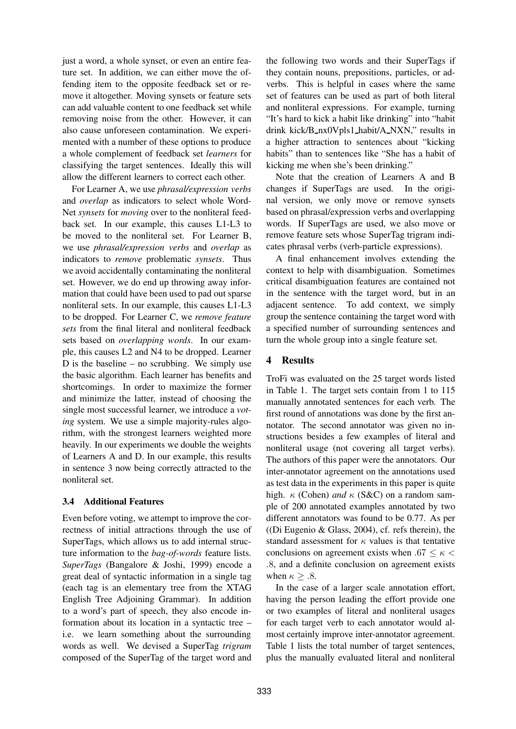just a word, a whole synset, or even an entire feature set. In addition, we can either move the offending item to the opposite feedback set or remove it altogether. Moving synsets or feature sets can add valuable content to one feedback set while removing noise from the other. However, it can also cause unforeseen contamination. We experimented with a number of these options to produce a whole complement of feedback set *learners* for classifying the target sentences. Ideally this will allow the different learners to correct each other.

For Learner A, we use *phrasal/expression verbs* and *overlap* as indicators to select whole Word-Net *synsets* for *moving* over to the nonliteral feedback set. In our example, this causes L1-L3 to be moved to the nonliteral set. For Learner B, we use *phrasal/expression verbs* and *overlap* as indicators to *remove* problematic *synsets*. Thus we avoid accidentally contaminating the nonliteral set. However, we do end up throwing away information that could have been used to pad out sparse nonliteral sets. In our example, this causes L1-L3 to be dropped. For Learner C, we *remove feature sets* from the final literal and nonliteral feedback sets based on *overlapping words*. In our example, this causes L2 and N4 to be dropped. Learner D is the baseline – no scrubbing. We simply use the basic algorithm. Each learner has benefits and shortcomings. In order to maximize the former and minimize the latter, instead of choosing the single most successful learner, we introduce a *voting* system. We use a simple majority-rules algorithm, with the strongest learners weighted more heavily. In our experiments we double the weights of Learners A and D. In our example, this results in sentence 3 now being correctly attracted to the nonliteral set.

### **3.4 Additional Features**

Even before voting, we attempt to improve the correctness of initial attractions through the use of SuperTags, which allows us to add internal structure information to the *bag-of-words* feature lists. *SuperTags* (Bangalore & Joshi, 1999) encode a great deal of syntactic information in a single tag (each tag is an elementary tree from the XTAG English Tree Adjoining Grammar). In addition to a word's part of speech, they also encode information about its location in a syntactic tree – i.e. we learn something about the surrounding words as well. We devised a SuperTag *trigram* composed of the SuperTag of the target word and

the following two words and their SuperTags if they contain nouns, prepositions, particles, or adverbs. This is helpful in cases where the same set of features can be used as part of both literal and nonliteral expressions. For example, turning "It's hard to kick a habit like drinking" into "habit drink kick/B nx0Vpls1 habit/A NXN," results in a higher attraction to sentences about "kicking habits" than to sentences like "She has a habit of kicking me when she's been drinking."

Note that the creation of Learners A and B changes if SuperTags are used. In the original version, we only move or remove synsets based on phrasal/expression verbs and overlapping words. If SuperTags are used, we also move or remove feature sets whose SuperTag trigram indicates phrasal verbs (verb-particle expressions).

A final enhancement involves extending the context to help with disambiguation. Sometimes critical disambiguation features are contained not in the sentence with the target word, but in an adjacent sentence. To add context, we simply group the sentence containing the target word with a specified number of surrounding sentences and turn the whole group into a single feature set.

### **4 Results**

TroFi was evaluated on the 25 target words listed in Table 1. The target sets contain from 1 to 115 manually annotated sentences for each verb. The first round of annotations was done by the first annotator. The second annotator was given no instructions besides a few examples of literal and nonliteral usage (not covering all target verbs). The authors of this paper were the annotators. Our inter-annotator agreement on the annotations used as test data in the experiments in this paper is quite high.  $\kappa$  (Cohen) *and*  $\kappa$  (S&C) on a random sample of 200 annotated examples annotated by two different annotators was found to be 0.77. As per  $($ (Di Eugenio & Glass, 2004), cf. refs therein), the standard assessment for  $\kappa$  values is that tentative conclusions on agreement exists when .67  $\leq \kappa$  < .8, and a definite conclusion on agreement exists when  $\kappa > .8$ .

In the case of a larger scale annotation effort, having the person leading the effort provide one or two examples of literal and nonliteral usages for each target verb to each annotator would almost certainly improve inter-annotator agreement. Table 1 lists the total number of target sentences, plus the manually evaluated literal and nonliteral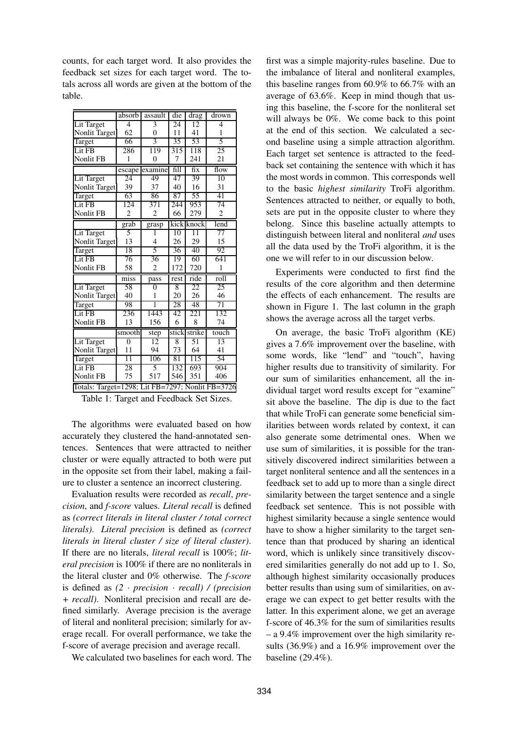counts, for each target word. It also provides the feedback set sizes for each target word. The totals across all words are given at the bottom of the table.

|                                                  | absorb                   | assault        | die   | drag                   | drown          |  |
|--------------------------------------------------|--------------------------|----------------|-------|------------------------|----------------|--|
| Lit Target                                       | 4                        | $\overline{3}$ | 24    | 12                     | 4              |  |
| Nonlit Target                                    | 62                       | 0              | 11    | 41                     | 1              |  |
| Target                                           | 66                       | 3              | 35    | 53                     | 5              |  |
| Lit FB                                           | 286                      | 119            | 315   | 118                    | 25             |  |
| <b>Nonlit FB</b>                                 | 1                        | $\overline{0}$ | 7     | 241                    | 21             |  |
|                                                  | escape                   | examine        | fill  | fix                    | flow           |  |
| Lit Target                                       | 24                       | 49             | 47    | 39                     | 10             |  |
| Nonlit Target                                    | 39                       | 37             | 40    | 16                     | 31             |  |
| Target                                           | 63                       | 86             | 87    | 55                     | 41             |  |
| Lit FB                                           | 124                      | 371            | 244   | 953                    | 74             |  |
| Nonlit FB                                        | $\overline{c}$           | $\overline{2}$ | 66    | 279                    | $\overline{c}$ |  |
|                                                  | grab                     | grasp          | kick  | $k$ noc $\overline{k}$ | lend           |  |
| Lit Target                                       | 5                        | 1              | 10    | $\overline{11}$        | 77             |  |
| Nonlit Target                                    | 13                       | $\overline{4}$ | 26    | 29                     | 15             |  |
| Target                                           | 18                       | $\overline{5}$ | 36    | 40                     | 92             |  |
| Lit FB                                           | 76                       | 36             | 19    | 60                     | 641            |  |
| <b>Nonlit FB</b>                                 | 58                       | 2              | 172   | 720                    | 1              |  |
|                                                  | $\overline{\text{miss}}$ | pass           | rest  | ride                   | roll           |  |
| Lit Target                                       | 58                       | $\overline{0}$ | 8     | 22                     | 25             |  |
| Nonlit Target                                    | 40                       | 1              | 20    | 26                     | 46             |  |
| Target                                           | 98                       | 1              | 28    | 48                     | 71             |  |
| Lit FB                                           | 236                      | 1443           | 42    | 221                    | 132            |  |
| Nonlit FB                                        | 13                       | 156            | 6     | 8                      | 74             |  |
|                                                  | smooth                   | step           | stick | strike                 | touch          |  |
| Lit Target                                       | $\overline{0}$           | 12             | 8     | 51                     | 13             |  |
| <b>Nonlit Target</b>                             | 11                       | 94             | 73    | 64                     | 41             |  |
| Target                                           | $\overline{11}$          | 106            | 81    | 115                    | 54             |  |
| Lit FB                                           | 28                       | 5              | 132   | 693                    | 904            |  |
| <b>Nonlit FB</b>                                 | 75                       | 517            | 546   | 351                    | 406            |  |
| Totals: Target=1298; Lit FB=7297; Nonlit FB=3726 |                          |                |       |                        |                |  |

Table 1: Target and Feedback Set Sizes.

The algorithms were evaluated based on how accurately they clustered the hand-annotated sentences. Sentences that were attracted to neither cluster or were equally attracted to both were put in the opposite set from their label, making a failure to cluster a sentence an incorrect clustering.

Evaluation results were recorded as *recall*, *precision*, and *f-score* values. *Literal recall* is defined as *(correct literals in literal cluster / total correct literals)*. *Literal precision* is defined as *(correct literals in literal cluster / size of literal cluster)*. If there are no literals, *literal recall* is 100%; *literal precision* is 100% if there are no nonliterals in the literal cluster and 0% otherwise. The *f-score* is defined as *(2* · *precision* · *recall) / (precision + recall)*. Nonliteral precision and recall are defined similarly. Average precision is the average of literal and nonliteral precision; similarly for average recall. For overall performance, we take the f-score of average precision and average recall.

We calculated two baselines for each word. The

first was a simple majority-rules baseline. Due to the imbalance of literal and nonliteral examples, this baseline ranges from 60.9% to 66.7% with an average of 63.6%. Keep in mind though that using this baseline, the f-score for the nonliteral set will always be 0%. We come back to this point at the end of this section. We calculated a second baseline using a simple attraction algorithm. Each target set sentence is attracted to the feedback set containing the sentence with which it has the most words in common. This corresponds well to the basic *highest similarity* TroFi algorithm. Sentences attracted to neither, or equally to both, sets are put in the opposite cluster to where they belong. Since this baseline actually attempts to distinguish between literal and nonliteral *and* uses all the data used by the TroFi algorithm, it is the one we will refer to in our discussion below.

Experiments were conducted to first find the results of the core algorithm and then determine the effects of each enhancement. The results are shown in Figure 1. The last column in the graph shows the average across all the target verbs.

On average, the basic TroFi algorithm (KE) gives a 7.6% improvement over the baseline, with some words, like "lend" and "touch", having higher results due to transitivity of similarity. For our sum of similarities enhancement, all the individual target word results except for "examine" sit above the baseline. The dip is due to the fact that while TroFi can generate some beneficial similarities between words related by context, it can also generate some detrimental ones. When we use sum of similarities, it is possible for the transitively discovered indirect similarities between a target nonliteral sentence and all the sentences in a feedback set to add up to more than a single direct similarity between the target sentence and a single feedback set sentence. This is not possible with highest similarity because a single sentence would have to show a higher similarity to the target sentence than that produced by sharing an identical word, which is unlikely since transitively discovered similarities generally do not add up to 1. So, although highest similarity occasionally produces better results than using sum of similarities, on average we can expect to get better results with the latter. In this experiment alone, we get an average f-score of 46.3% for the sum of similarities results – a 9.4% improvement over the high similarity results (36.9%) and a 16.9% improvement over the baseline (29.4%).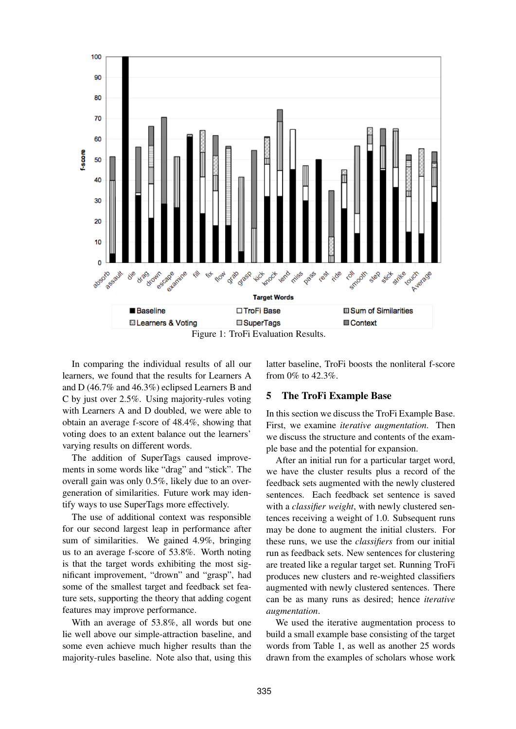

In comparing the individual results of all our learners, we found that the results for Learners A and D (46.7% and 46.3%) eclipsed Learners B and C by just over 2.5%. Using majority-rules voting with Learners A and D doubled, we were able to obtain an average f-score of 48.4%, showing that voting does to an extent balance out the learners' varying results on different words.

The addition of SuperTags caused improvements in some words like "drag" and "stick". The overall gain was only 0.5%, likely due to an overgeneration of similarities. Future work may identify ways to use SuperTags more effectively.

The use of additional context was responsible for our second largest leap in performance after sum of similarities. We gained 4.9%, bringing us to an average f-score of 53.8%. Worth noting is that the target words exhibiting the most significant improvement, "drown" and "grasp", had some of the smallest target and feedback set feature sets, supporting the theory that adding cogent features may improve performance.

With an average of 53.8%, all words but one lie well above our simple-attraction baseline, and some even achieve much higher results than the majority-rules baseline. Note also that, using this latter baseline, TroFi boosts the nonliteral f-score from 0% to 42.3%.

### **5 The TroFi Example Base**

In this section we discuss the TroFi Example Base. First, we examine *iterative augmentation*. Then we discuss the structure and contents of the example base and the potential for expansion.

After an initial run for a particular target word, we have the cluster results plus a record of the feedback sets augmented with the newly clustered sentences. Each feedback set sentence is saved with a *classifier weight*, with newly clustered sentences receiving a weight of 1.0. Subsequent runs may be done to augment the initial clusters. For these runs, we use the *classifiers* from our initial run as feedback sets. New sentences for clustering are treated like a regular target set. Running TroFi produces new clusters and re-weighted classifiers augmented with newly clustered sentences. There can be as many runs as desired; hence *iterative augmentation*.

We used the iterative augmentation process to build a small example base consisting of the target words from Table 1, as well as another 25 words drawn from the examples of scholars whose work